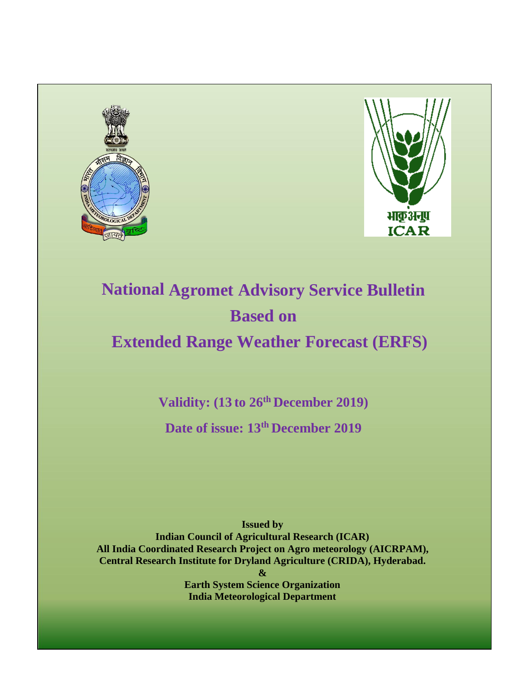



# **National Agromet Advisory Service Bulletin Based on**

**Extended Range Weather Forecast (ERFS)**

**Validity: (13 to 26th December 2019)** 

**Date of issue: 13th December 2019**

**Issued by Indian Council of Agricultural Research (ICAR) All India Coordinated Research Project on Agro meteorology (AICRPAM), Central Research Institute for Dryland Agriculture (CRIDA), Hyderabad. &**

**Earth System Science Organization India Meteorological Department**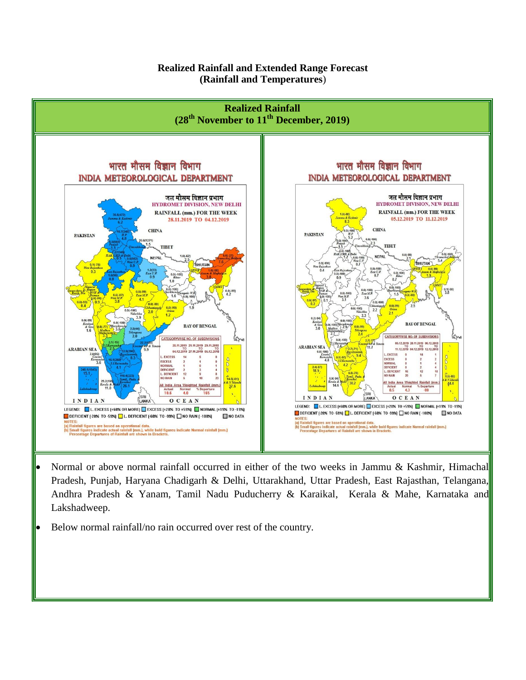#### **Realized Rainfall and Extended Range Forecast (Rainfall and Temperatures**)



- Normal or above normal rainfall occurred in either of the two weeks in Jammu & Kashmir, Himachal Pradesh, Punjab, Haryana Chadigarh & Delhi, Uttarakhand, Uttar Pradesh, East Rajasthan, Telangana, Andhra Pradesh & Yanam, Tamil Nadu Puducherry & Karaikal, Kerala & Mahe, Karnataka and Lakshadweep.
- Below normal rainfall/no rain occurred over rest of the country.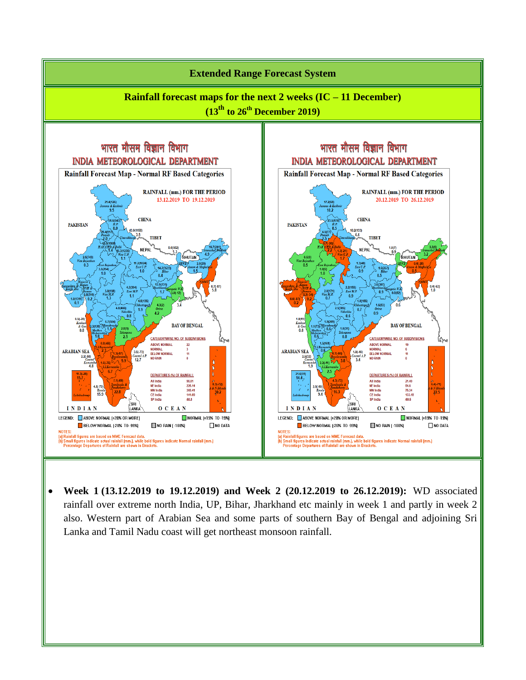

 **Week 1 (13.12.2019 to 19.12.2019) and Week 2 (20.12.2019 to 26.12.2019):** WD associated rainfall over extreme north India, UP, Bihar, Jharkhand etc mainly in week 1 and partly in week 2 also. Western part of Arabian Sea and some parts of southern Bay of Bengal and adjoining Sri Lanka and Tamil Nadu coast will get northeast monsoon rainfall.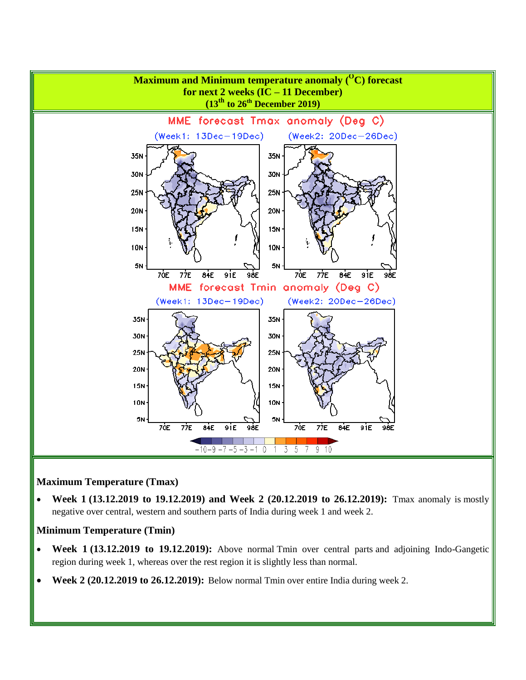

#### **Maximum Temperature (Tmax)**

 **Week 1 (13.12.2019 to 19.12.2019) and Week 2 (20.12.2019 to 26.12.2019):** Tmax anomaly is mostly negative over central, western and southern parts of India during week 1 and week 2.

#### **Minimum Temperature (Tmin)**

- **Week 1 (13.12.2019 to 19.12.2019):** Above normal Tmin over central parts and adjoining Indo-Gangetic region during week 1, whereas over the rest region it is slightly less than normal.
- **Week 2 (20.12.2019 to 26.12.2019):** Below normal Tmin over entire India during week 2.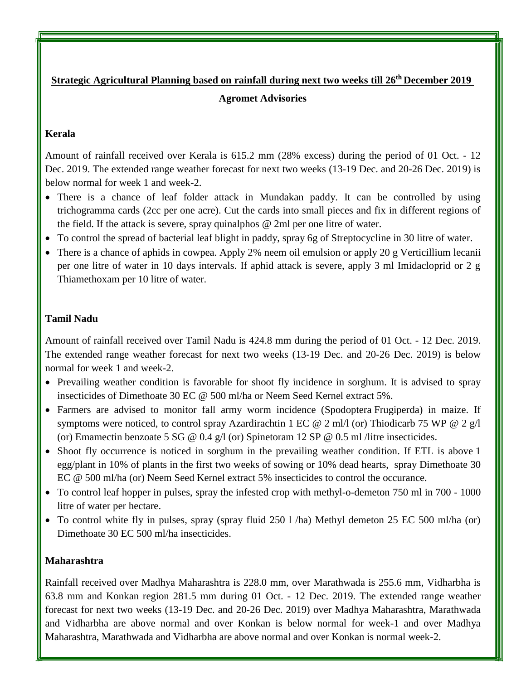# **Strategic Agricultural Planning based on rainfall during next two weeks till 26th December 2019 Agromet Advisories**

# **Kerala**

Amount of rainfall received over Kerala is 615.2 mm (28% excess) during the period of 01 Oct. - 12 Dec. 2019. The extended range weather forecast for next two weeks (13-19 Dec. and 20-26 Dec. 2019) is below normal for week 1 and week-2.

- There is a chance of leaf folder attack in Mundakan paddy. It can be controlled by using trichogramma cards (2cc per one acre). Cut the cards into small pieces and fix in different regions of the field. If the attack is severe, spray quinalphos @ 2ml per one litre of water.
- To control the spread of bacterial leaf blight in paddy, spray 6g of Streptocycline in 30 litre of water.
- There is a chance of aphids in cowpea. Apply 2% neem oil emulsion or apply 20 g Verticillium lecanii per one litre of water in 10 days intervals. If aphid attack is severe, apply 3 ml Imidacloprid or 2 g Thiamethoxam per 10 litre of water.

# **Tamil Nadu**

Amount of rainfall received over Tamil Nadu is 424.8 mm during the period of 01 Oct. - 12 Dec. 2019. The extended range weather forecast for next two weeks (13-19 Dec. and 20-26 Dec. 2019) is below normal for week 1 and week-2.

- Prevailing weather condition is favorable for shoot fly incidence in sorghum. It is advised to spray insecticides of Dimethoate 30 EC @ 500 ml/ha or Neem Seed Kernel extract 5%.
- Farmers are advised to monitor fall army worm incidence [\(Spodoptera](https://www.google.co.in/search?q=Spodoptera+Frugiperda&spell=1&sa=X&ved=0ahUKEwiiwJTkqfHcAhWGxrwKHS3jCxEQkeECCCQoAA) Frugiperda) in maize. If symptoms were noticed, to control spray Azardirachtin 1 EC @ 2 ml/l (or) Thiodicarb 75 WP @ 2 g/l (or) Emamectin benzoate 5 SG @ 0.4 g/l (or) Spinetoram 12 SP @ 0.5 ml /litre insecticides.
- Shoot fly occurrence is noticed in sorghum in the prevailing weather condition. If ETL is above 1 egg/plant in 10% of plants in the first two weeks of sowing or 10% dead hearts, spray Dimethoate 30 EC @ 500 ml/ha (or) Neem Seed Kernel extract 5% insecticides to control the occurance.
- To control leaf hopper in pulses, spray the infested crop with methyl-o-demeton 750 ml in 700 1000 litre of water per hectare.
- To control white fly in pulses, spray (spray fluid 250 l /ha) Methyl demeton 25 EC 500 ml/ha (or) Dimethoate 30 EC 500 ml/ha insecticides.

# **Maharashtra**

Rainfall received over Madhya Maharashtra is 228.0 mm, over Marathwada is 255.6 mm, Vidharbha is 63.8 mm and Konkan region 281.5 mm during 01 Oct. - 12 Dec. 2019. The extended range weather forecast for next two weeks (13-19 Dec. and 20-26 Dec. 2019) over Madhya Maharashtra, Marathwada and Vidharbha are above normal and over Konkan is below normal for week-1 and over Madhya Maharashtra, Marathwada and Vidharbha are above normal and over Konkan is normal week-2.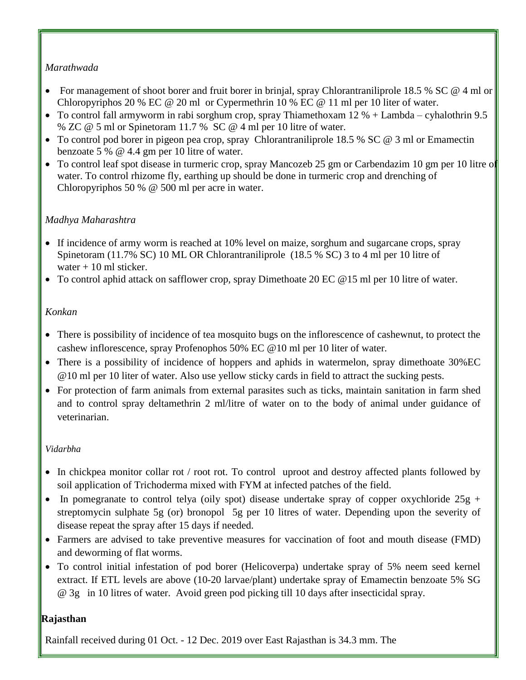## *Marathwada*

- For management of shoot borer and fruit borer in brinjal, spray Chlorantraniliprole 18.5 % SC @ 4 ml or Chloropyriphos 20 % EC @ 20 ml or Cypermethrin 10 % EC @ 11 ml per 10 liter of water.
- To control fall armyworm in rabi sorghum crop, spray Thiamethoxam  $12\%$  + Lambda cyhalothrin 9.5 % ZC @ 5 ml or Spinetoram 11.7 % SC @ 4 ml per 10 litre of water.
- To control pod borer in pigeon pea crop, spray Chlorantraniliprole 18.5 % SC @ 3 ml or Emamectin benzoate 5 % @ 4.4 gm per 10 litre of water.
- To control leaf spot disease in turmeric crop, spray Mancozeb 25 gm or Carbendazim 10 gm per 10 litre of water. To control rhizome fly, earthing up should be done in turmeric crop and drenching of Chloropyriphos 50 % @ 500 ml per acre in water.

## *Madhya Maharashtra*

- If incidence of army worm is reached at 10% level on maize, sorghum and sugarcane crops, spray Spinetoram (11.7% SC) 10 ML OR Chlorantraniliprole (18.5 % SC) 3 to 4 ml per 10 litre of water + 10 ml sticker.
- To control aphid attack on safflower crop, spray Dimethoate 20 EC @15 ml per 10 litre of water.

#### *Konkan*

- There is possibility of incidence of tea mosquito bugs on the inflorescence of cashewnut, to protect the cashew inflorescence, spray Profenophos 50% EC @10 ml per 10 liter of water.
- There is a possibility of incidence of hoppers and aphids in watermelon, spray dimethoate 30%EC @10 ml per 10 liter of water. Also use yellow sticky cards in field to attract the sucking pests.
- For protection of farm animals from external parasites such as ticks, maintain sanitation in farm shed and to control spray deltamethrin 2 ml/litre of water on to the body of animal under guidance of veterinarian.

#### *Vidarbha*

- In chickpea monitor collar rot / root rot. To control uproot and destroy affected plants followed by soil application of Trichoderma mixed with FYM at infected patches of the field.
- In pomegranate to control telya (oily spot) disease undertake spray of copper oxychloride  $25g +$ streptomycin sulphate 5g (or) bronopol 5g per 10 litres of water. Depending upon the severity of disease repeat the spray after 15 days if needed.
- Farmers are advised to take preventive measures for vaccination of foot and mouth disease (FMD) and deworming of flat worms.
- To control initial infestation of pod borer (Helicoverpa) undertake spray of 5% neem seed kernel extract. If ETL levels are above (10-20 larvae/plant) undertake spray of Emamectin benzoate 5% SG @ 3g in 10 litres of water. Avoid green pod picking till 10 days after insecticidal spray.

# **Rajasthan**

Rainfall received during 01 Oct. - 12 Dec. 2019 over East Rajasthan is 34.3 mm. The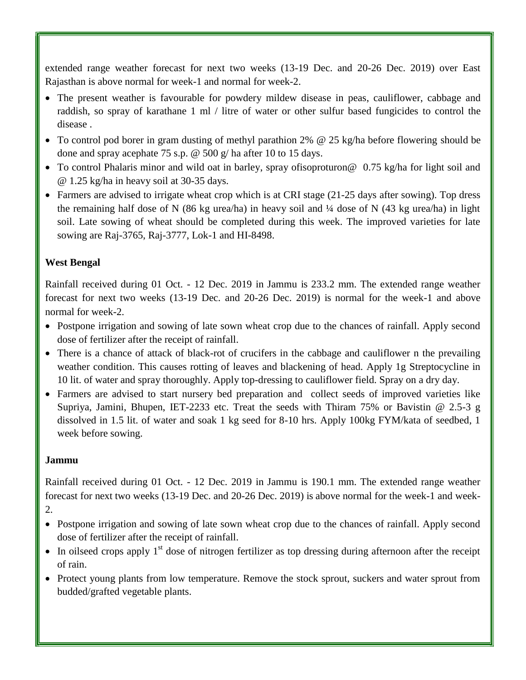extended range weather forecast for next two weeks (13-19 Dec. and 20-26 Dec. 2019) over East Rajasthan is above normal for week-1 and normal for week-2.

- The present weather is favourable for powdery mildew disease in peas, cauliflower, cabbage and raddish, so spray of karathane 1 ml / litre of water or other sulfur based fungicides to control the disease .
- To control pod borer in gram dusting of methyl parathion 2% @ 25 kg/ha before flowering should be done and spray acephate 75 s.p. @ 500 g/ ha after 10 to 15 days.
- To control Phalaris minor and wild oat in barley, spray of isoproturon @ 0.75 kg/ha for light soil and @ 1.25 kg/ha in heavy soil at 30-35 days.
- Farmers are advised to irrigate wheat crop which is at CRI stage (21-25 days after sowing). Top dress the remaining half dose of N (86 kg urea/ha) in heavy soil and  $\frac{1}{4}$  dose of N (43 kg urea/ha) in light soil. Late sowing of wheat should be completed during this week. The improved varieties for late sowing are Raj-3765, Raj-3777, Lok-1 and HI-8498.

# **West Bengal**

Rainfall received during 01 Oct. - 12 Dec. 2019 in Jammu is 233.2 mm. The extended range weather forecast for next two weeks (13-19 Dec. and 20-26 Dec. 2019) is normal for the week-1 and above normal for week-2.

- Postpone irrigation and sowing of late sown wheat crop due to the chances of rainfall. Apply second dose of fertilizer after the receipt of rainfall.
- There is a chance of attack of black-rot of crucifers in the cabbage and cauliflower n the prevailing weather condition. This causes rotting of leaves and blackening of head. Apply 1g Streptocycline in 10 lit. of water and spray thoroughly. Apply top-dressing to cauliflower field. Spray on a dry day.
- Farmers are advised to start nursery bed preparation and collect seeds of improved varieties like Supriya, Jamini, Bhupen, IET-2233 etc. Treat the seeds with Thiram 75% or Bavistin @ 2.5-3 g dissolved in 1.5 lit. of water and soak 1 kg seed for 8-10 hrs. Apply 100kg FYM/kata of seedbed, 1 week before sowing.

#### **Jammu**

Rainfall received during 01 Oct. - 12 Dec. 2019 in Jammu is 190.1 mm. The extended range weather forecast for next two weeks (13-19 Dec. and 20-26 Dec. 2019) is above normal for the week-1 and week-

- 2.
- Postpone irrigation and sowing of late sown wheat crop due to the chances of rainfall. Apply second dose of fertilizer after the receipt of rainfall.
- In oilseed crops apply  $1<sup>st</sup>$  dose of nitrogen fertilizer as top dressing during afternoon after the receipt of rain.
- Protect young plants from low temperature. Remove the stock sprout, suckers and water sprout from budded/grafted vegetable plants.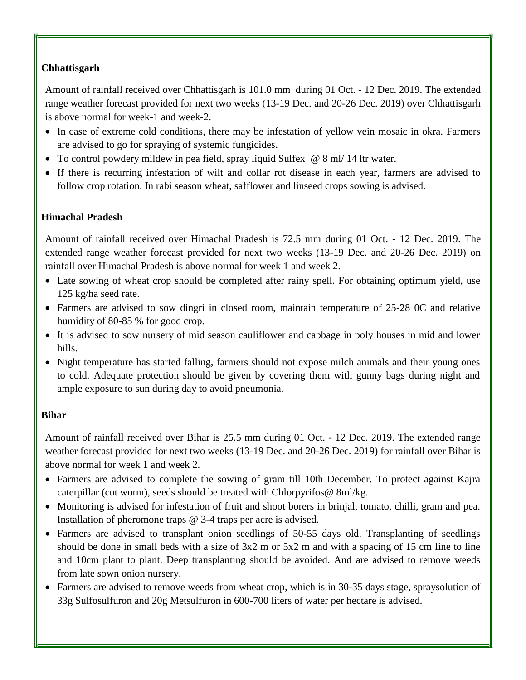# **Chhattisgarh**

Amount of rainfall received over Chhattisgarh is 101.0 mm during 01 Oct. - 12 Dec. 2019. The extended range weather forecast provided for next two weeks (13-19 Dec. and 20-26 Dec. 2019) over Chhattisgarh is above normal for week-1 and week-2.

- In case of extreme cold conditions, there may be infestation of yellow vein mosaic in okra. Farmers are advised to go for spraying of systemic fungicides.
- To control powdery mildew in pea field, spray liquid Sulfex  $@ 8 \text{ ml}$  14 ltr water.
- If there is recurring infestation of wilt and collar rot disease in each year, farmers are advised to follow crop rotation. In rabi season wheat, safflower and linseed crops sowing is advised.

## **Himachal Pradesh**

Amount of rainfall received over Himachal Pradesh is 72.5 mm during 01 Oct. - 12 Dec. 2019. The extended range weather forecast provided for next two weeks (13-19 Dec. and 20-26 Dec. 2019) on rainfall over Himachal Pradesh is above normal for week 1 and week 2.

- Late sowing of wheat crop should be completed after rainy spell. For obtaining optimum yield, use 125 kg/ha seed rate.
- Farmers are advised to sow dingri in closed room, maintain temperature of 25-28 0C and relative humidity of 80-85 % for good crop.
- It is advised to sow nursery of mid season cauliflower and cabbage in poly houses in mid and lower hills.
- Night temperature has started falling, farmers should not expose milch animals and their young ones to cold. Adequate protection should be given by covering them with gunny bags during night and ample exposure to sun during day to avoid pneumonia.

#### **Bihar**

Amount of rainfall received over Bihar is 25.5 mm during 01 Oct. - 12 Dec. 2019. The extended range weather forecast provided for next two weeks (13-19 Dec. and 20-26 Dec. 2019) for rainfall over Bihar is above normal for week 1 and week 2.

- Farmers are advised to complete the sowing of gram till 10th December. To protect against Kajra caterpillar (cut worm), seeds should be treated with Chlorpyrifos@ 8ml/kg.
- Monitoring is advised for infestation of fruit and shoot borers in brinjal, tomato, chilli, gram and pea. Installation of pheromone traps @ 3-4 traps per acre is advised.
- Farmers are advised to transplant onion seedlings of 50-55 days old. Transplanting of seedlings should be done in small beds with a size of 3x2 m or 5x2 m and with a spacing of 15 cm line to line and 10cm plant to plant. Deep transplanting should be avoided. And are advised to remove weeds from late sown onion nursery.
- Farmers are advised to remove weeds from wheat crop, which is in 30-35 days stage, spraysolution of 33g Sulfosulfuron and 20g Metsulfuron in 600-700 liters of water per hectare is advised.